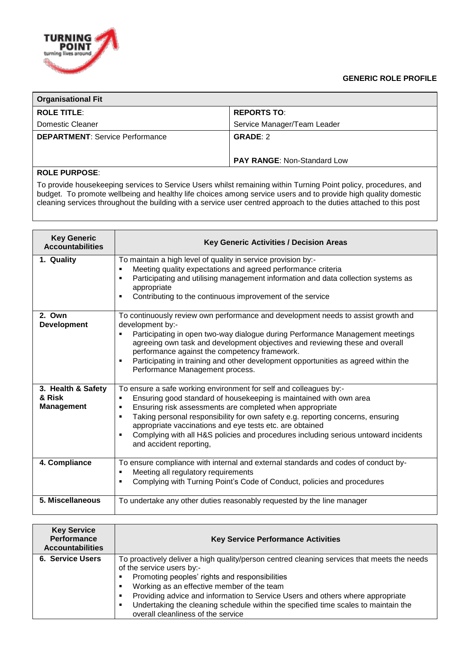## **GENERIC ROLE PROFILE**



| <b>Organisational Fit</b>              |                                    |  |  |
|----------------------------------------|------------------------------------|--|--|
| <b>ROLE TITLE:</b>                     | <b>REPORTS TO:</b>                 |  |  |
| Domestic Cleaner                       | Service Manager/Team Leader        |  |  |
| <b>DEPARTMENT: Service Performance</b> | <b>GRADE: 2</b>                    |  |  |
|                                        | <b>PAY RANGE: Non-Standard Low</b> |  |  |

## **ROLE PURPOSE**:

To provide housekeeping services to Service Users whilst remaining within Turning Point policy, procedures, and budget. To promote wellbeing and healthy life choices among service users and to provide high quality domestic cleaning services throughout the building with a service user centred approach to the duties attached to this post

| <b>Key Generic</b><br><b>Accountabilities</b>     | <b>Key Generic Activities / Decision Areas</b>                                                                                                                                                                                                                                                                                                                                                                                                                                      |  |
|---------------------------------------------------|-------------------------------------------------------------------------------------------------------------------------------------------------------------------------------------------------------------------------------------------------------------------------------------------------------------------------------------------------------------------------------------------------------------------------------------------------------------------------------------|--|
| 1. Quality                                        | To maintain a high level of quality in service provision by:-<br>Meeting quality expectations and agreed performance criteria<br>٠<br>Participating and utilising management information and data collection systems as<br>appropriate<br>Contributing to the continuous improvement of the service<br>٠                                                                                                                                                                            |  |
| 2. Own<br><b>Development</b>                      | To continuously review own performance and development needs to assist growth and<br>development by:-<br>Participating in open two-way dialogue during Performance Management meetings<br>٠<br>agreeing own task and development objectives and reviewing these and overall<br>performance against the competency framework.<br>Participating in training and other development opportunities as agreed within the<br>٠<br>Performance Management process.                          |  |
| 3. Health & Safety<br>& Risk<br><b>Management</b> | To ensure a safe working environment for self and colleagues by:-<br>Ensuring good standard of housekeeping is maintained with own area<br>٠<br>Ensuring risk assessments are completed when appropriate<br>٠<br>Taking personal responsibility for own safety e.g. reporting concerns, ensuring<br>appropriate vaccinations and eye tests etc. are obtained<br>Complying with all H&S policies and procedures including serious untoward incidents<br>٠<br>and accident reporting, |  |
| 4. Compliance                                     | To ensure compliance with internal and external standards and codes of conduct by-<br>Meeting all regulatory requirements<br>٠<br>Complying with Turning Point's Code of Conduct, policies and procedures<br>٠                                                                                                                                                                                                                                                                      |  |
| 5. Miscellaneous                                  | To undertake any other duties reasonably requested by the line manager                                                                                                                                                                                                                                                                                                                                                                                                              |  |

| <b>Key Service</b><br><b>Performance</b><br><b>Accountabilities</b> | <b>Key Service Performance Activities</b>                                                                                                                                                                                                                                                                                                                                                                                                                  |  |
|---------------------------------------------------------------------|------------------------------------------------------------------------------------------------------------------------------------------------------------------------------------------------------------------------------------------------------------------------------------------------------------------------------------------------------------------------------------------------------------------------------------------------------------|--|
| 6. Service Users                                                    | To proactively deliver a high quality/person centred cleaning services that meets the needs<br>of the service users by:-<br>Promoting peoples' rights and responsibilities<br>٠<br>Working as an effective member of the team<br>٠<br>Providing advice and information to Service Users and others where appropriate<br>٠<br>Undertaking the cleaning schedule within the specified time scales to maintain the<br>٠<br>overall cleanliness of the service |  |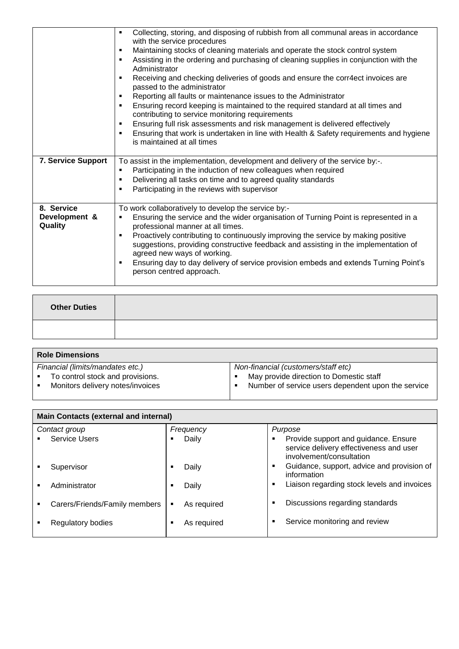|                           | Collecting, storing, and disposing of rubbish from all communal areas in accordance<br>with the service procedures<br>Maintaining stocks of cleaning materials and operate the stock control system<br>٠<br>Assisting in the ordering and purchasing of cleaning supplies in conjunction with the<br>٠<br>Administrator<br>Receiving and checking deliveries of goods and ensure the corr4ect invoices are<br>٠<br>passed to the administrator<br>Reporting all faults or maintenance issues to the Administrator<br>٠<br>Ensuring record keeping is maintained to the required standard at all times and<br>٠<br>contributing to service monitoring requirements<br>Ensuring full risk assessments and risk management is delivered effectively<br>٠<br>Ensuring that work is undertaken in line with Health & Safety requirements and hygiene<br>٠<br>is maintained at all times |  |
|---------------------------|------------------------------------------------------------------------------------------------------------------------------------------------------------------------------------------------------------------------------------------------------------------------------------------------------------------------------------------------------------------------------------------------------------------------------------------------------------------------------------------------------------------------------------------------------------------------------------------------------------------------------------------------------------------------------------------------------------------------------------------------------------------------------------------------------------------------------------------------------------------------------------|--|
| <b>7. Service Support</b> | To assist in the implementation, development and delivery of the service by:-.                                                                                                                                                                                                                                                                                                                                                                                                                                                                                                                                                                                                                                                                                                                                                                                                     |  |
|                           | Participating in the induction of new colleagues when required<br>٠                                                                                                                                                                                                                                                                                                                                                                                                                                                                                                                                                                                                                                                                                                                                                                                                                |  |
|                           | Delivering all tasks on time and to agreed quality standards<br>٠                                                                                                                                                                                                                                                                                                                                                                                                                                                                                                                                                                                                                                                                                                                                                                                                                  |  |
|                           | Participating in the reviews with supervisor<br>٠                                                                                                                                                                                                                                                                                                                                                                                                                                                                                                                                                                                                                                                                                                                                                                                                                                  |  |
|                           |                                                                                                                                                                                                                                                                                                                                                                                                                                                                                                                                                                                                                                                                                                                                                                                                                                                                                    |  |
| 8. Service                | To work collaboratively to develop the service by:-                                                                                                                                                                                                                                                                                                                                                                                                                                                                                                                                                                                                                                                                                                                                                                                                                                |  |
| Development &<br>Quality  | Ensuring the service and the wider organisation of Turning Point is represented in a<br>٠<br>professional manner at all times.                                                                                                                                                                                                                                                                                                                                                                                                                                                                                                                                                                                                                                                                                                                                                     |  |
|                           | Proactively contributing to continuously improving the service by making positive<br>$\blacksquare$<br>suggestions, providing constructive feedback and assisting in the implementation of<br>agreed new ways of working.                                                                                                                                                                                                                                                                                                                                                                                                                                                                                                                                                                                                                                                          |  |
|                           | Ensuring day to day delivery of service provision embeds and extends Turning Point's<br>٠<br>person centred approach.                                                                                                                                                                                                                                                                                                                                                                                                                                                                                                                                                                                                                                                                                                                                                              |  |
|                           |                                                                                                                                                                                                                                                                                                                                                                                                                                                                                                                                                                                                                                                                                                                                                                                                                                                                                    |  |

| <b>Other Duties</b> |  |
|---------------------|--|
|                     |  |

| <b>Role Dimensions</b>           |                                                    |  |  |
|----------------------------------|----------------------------------------------------|--|--|
| Financial (limits/mandates etc.) | Non-financial (customers/staff etc)                |  |  |
| To control stock and provisions. | May provide direction to Domestic staff            |  |  |
| Monitors delivery notes/invoices | Number of service users dependent upon the service |  |  |
|                                  |                                                    |  |  |

L

| <b>Main Contacts (external and internal)</b> |                               |             |                                                                                                             |  |
|----------------------------------------------|-------------------------------|-------------|-------------------------------------------------------------------------------------------------------------|--|
|                                              | Contact group                 | Frequency   | Purpose                                                                                                     |  |
|                                              | <b>Service Users</b>          | Daily       | Provide support and guidance. Ensure<br>service delivery effectiveness and user<br>involvement/consultation |  |
|                                              | Supervisor                    | Daily       | Guidance, support, advice and provision of<br>٠<br>information                                              |  |
|                                              | Administrator                 | Daily       | Liaison regarding stock levels and invoices<br>٠                                                            |  |
|                                              | Carers/Friends/Family members | As required | Discussions regarding standards<br>٠                                                                        |  |
|                                              | Regulatory bodies             | As required | Service monitoring and review<br>٠                                                                          |  |